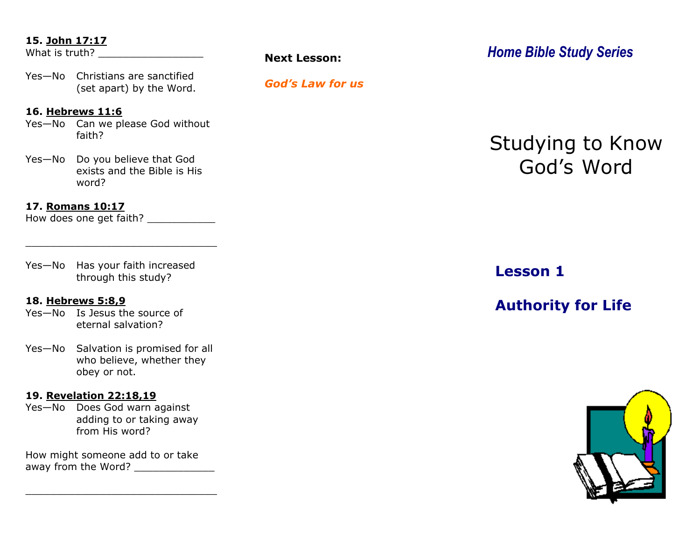#### **15. John 17:17**

What is truth?

Yes—No Christians are sanctified (set apart) by the Word.

#### **16. Hebrews 11:6**

Yes—No Can we please God without faith?

Yes—No Do you believe that God exists and the Bible is His word?

#### **17. Romans 10:17**

How does one get faith?

Yes—No Has your faith increased through this study?

\_\_\_\_\_\_\_\_\_\_\_\_\_\_\_\_\_\_\_\_\_\_\_\_\_\_\_\_\_\_\_

#### **18. Hebrews 5:8,9**

Yes—No Is Jesus the source of eternal salvation?

Yes—No Salvation is promised for all who believe, whether they obey or not.

#### **19. Revelation 22:18,19**

Yes—No Does God warn against adding to or taking away from His word?

How might someone add to or take away from the Word?

\_\_\_\_\_\_\_\_\_\_\_\_\_\_\_\_\_\_\_\_\_\_\_\_\_\_\_\_\_\_\_

#### *God's Law for us*

*Home Bible Study Series* **Next Lesson:** 

# Studying to Know God's Word

## **Lesson 1**

## **Authority for Life**